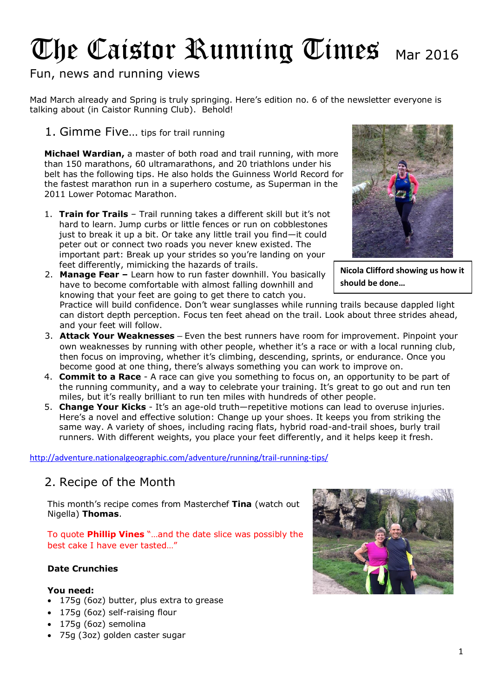# The Caistor Running Times Mar 2016

## Fun, news and running views

Mad March already and Spring is truly springing. Here's edition no. 6 of the newsletter everyone is talking about (in Caistor Running Club). Behold!

1. Gimme Five… tips for trail running

**Michael Wardian,** a master of both road and trail running, with more than 150 marathons, 60 ultramarathons, and 20 triathlons under his belt has the following tips. He also holds the Guinness World Record for the fastest marathon run in a superhero costume, as Superman in the 2011 Lower Potomac Marathon.

1. **Train for Trails** – Trail running takes a different skill but it's not hard to learn. Jump curbs or little fences or run on cobblestones just to break it up a bit. Or take any little trail you find—it could peter out or connect two roads you never knew existed. The important part: Break up your strides so you're landing on your feet differently, mimicking the hazards of trails.





**Nicola Clifford showing us how it should be done…**

Practice will build confidence. Don't wear sunglasses while running trails because dappled light can distort depth perception. Focus ten feet ahead on the trail. Look about three strides ahead, and your feet will follow.

- 3. **Attack Your Weaknesses –** Even the best runners have room for improvement. Pinpoint your own weaknesses by running with other people, whether it's a race or with a local running club, then focus on improving, whether it's climbing, descending, sprints, or endurance. Once you become good at one thing, there's always something you can work to improve on.
- 4. **Commit to a Race** A race can give you something to focus on, an opportunity to be part of the running community, and a way to celebrate your training. It's great to go out and run ten miles, but it's really brilliant to run ten miles with hundreds of other people.
- 5. **Change Your Kicks**  It's an age-old truth—repetitive motions can lead to overuse injuries. Here's a novel and effective solution: Change up your shoes. It keeps you from striking the same way. A variety of shoes, including racing flats, hybrid road-and-trail shoes, burly trail runners. With different weights, you place your feet differently, and it helps keep it fresh.

<http://adventure.nationalgeographic.com/adventure/running/trail-running-tips/>

## 2. Recipe of the Month

This month's recipe comes from Masterchef **Tina** (watch out Nigella) **Thomas**.

To quote **Phillip Vines** "…and the date slice was possibly the best cake I have ever tasted…"

#### **Date Crunchies**

#### **You need:**

- 175g (6oz) butter, plus extra to grease
- 175g (6oz) self-raising flour
- 175g (6oz) semolina
- 75g (3oz) golden caster sugar

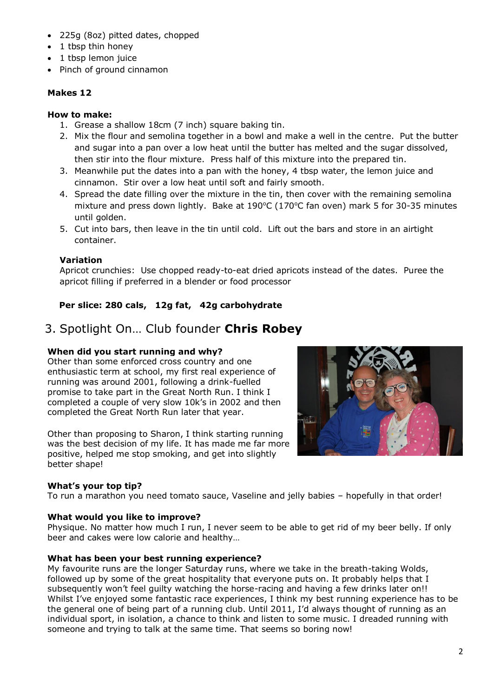- 225g (8oz) pitted dates, chopped
- 1 tbsp thin honey
- 1 tbsp lemon juice
- Pinch of ground cinnamon

#### **Makes 12**

#### **How to make:**

- 1. Grease a shallow 18cm (7 inch) square baking tin.
- 2. Mix the flour and semolina together in a bowl and make a well in the centre. Put the butter and sugar into a pan over a low heat until the butter has melted and the sugar dissolved, then stir into the flour mixture. Press half of this mixture into the prepared tin.
- 3. Meanwhile put the dates into a pan with the honey, 4 tbsp water, the lemon juice and cinnamon. Stir over a low heat until soft and fairly smooth.
- 4. Spread the date filling over the mixture in the tin, then cover with the remaining semolina mixture and press down lightly. Bake at  $190^{\circ}$ C (170°C fan oven) mark 5 for 30-35 minutes until golden.
- 5. Cut into bars, then leave in the tin until cold. Lift out the bars and store in an airtight container.

#### **Variation**

Apricot crunchies: Use chopped ready-to-eat dried apricots instead of the dates. Puree the apricot filling if preferred in a blender or food processor

#### **Per slice: 280 cals, 12g fat, 42g carbohydrate**

## 3. Spotlight On… Club founder **Chris Robey**

#### **When did you start running and why?**

Other than some enforced cross country and one enthusiastic term at school, my first real experience of running was around 2001, following a drink-fuelled promise to take part in the Great North Run. I think I completed a couple of very slow 10k's in 2002 and then completed the Great North Run later that year.

Other than proposing to Sharon, I think starting running was the best decision of my life. It has made me far more positive, helped me stop smoking, and get into slightly better shape!

#### **What's your top tip?**

To run a marathon you need tomato sauce, Vaseline and jelly babies – hopefully in that order!

#### **What would you like to improve?**

Physique. No matter how much I run, I never seem to be able to get rid of my beer belly. If only beer and cakes were low calorie and healthy…

#### **What has been your best running experience?**

My favourite runs are the longer Saturday runs, where we take in the breath-taking Wolds, followed up by some of the great hospitality that everyone puts on. It probably helps that I subsequently won't feel guilty watching the horse-racing and having a few drinks later on!! Whilst I've enjoyed some fantastic race experiences, I think my best running experience has to be the general one of being part of a running club. Until 2011, I'd always thought of running as an individual sport, in isolation, a chance to think and listen to some music. I dreaded running with someone and trying to talk at the same time. That seems so boring now!

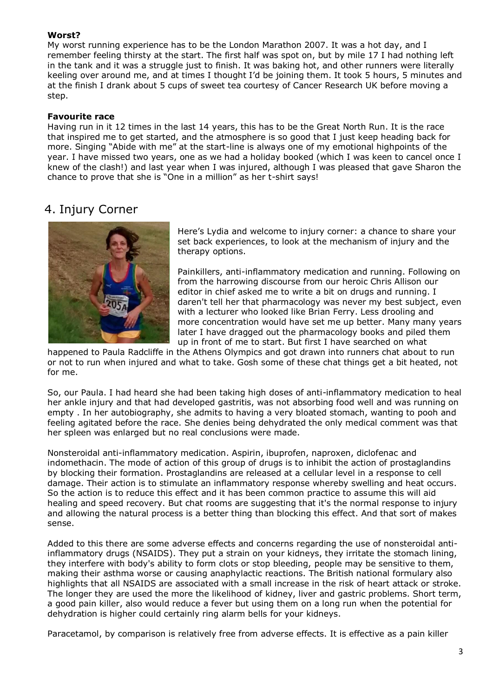#### **Worst?**

My worst running experience has to be the London Marathon 2007. It was a hot day, and I remember feeling thirsty at the start. The first half was spot on, but by mile 17 I had nothing left in the tank and it was a struggle just to finish. It was baking hot, and other runners were literally keeling over around me, and at times I thought I'd be joining them. It took 5 hours, 5 minutes and at the finish I drank about 5 cups of sweet tea courtesy of Cancer Research UK before moving a step.

#### **Favourite race**

Having run in it 12 times in the last 14 years, this has to be the Great North Run. It is the race that inspired me to get started, and the atmosphere is so good that I just keep heading back for more. Singing "Abide with me" at the start-line is always one of my emotional highpoints of the year. I have missed two years, one as we had a holiday booked (which I was keen to cancel once I knew of the clash!) and last year when I was injured, although I was pleased that gave Sharon the chance to prove that she is "One in a million" as her t-shirt says!

## 4. Injury Corner



Here's Lydia and welcome to injury corner: a chance to share your set back experiences, to look at the mechanism of injury and the therapy options.

Painkillers, anti-inflammatory medication and running. Following on from the harrowing discourse from our heroic Chris Allison our editor in chief asked me to write a bit on drugs and running. I daren't tell her that pharmacology was never my best subject, even with a lecturer who looked like Brian Ferry. Less drooling and more concentration would have set me up better. Many many years later I have dragged out the pharmacology books and piled them up in front of me to start. But first I have searched on what

happened to Paula Radcliffe in the Athens Olympics and got drawn into runners chat about to run or not to run when injured and what to take. Gosh some of these chat things get a bit heated, not for me.

So, our Paula. I had heard she had been taking high doses of anti-inflammatory medication to heal her ankle injury and that had developed gastritis, was not absorbing food well and was running on empty . In her autobiography, she admits to having a very bloated stomach, wanting to pooh and feeling agitated before the race. She denies being dehydrated the only medical comment was that her spleen was enlarged but no real conclusions were made.

Nonsteroidal anti-inflammatory medication. Aspirin, ibuprofen, naproxen, diclofenac and indomethacin. The mode of action of this group of drugs is to inhibit the action of prostaglandins by blocking their formation. Prostaglandins are released at a cellular level in a response to cell damage. Their action is to stimulate an inflammatory response whereby swelling and heat occurs. So the action is to reduce this effect and it has been common practice to assume this will aid healing and speed recovery. But chat rooms are suggesting that it's the normal response to injury and allowing the natural process is a better thing than blocking this effect. And that sort of makes sense.

Added to this there are some adverse effects and concerns regarding the use of nonsteroidal antiinflammatory drugs (NSAIDS). They put a strain on your kidneys, they irritate the stomach lining, they interfere with body's ability to form clots or stop bleeding, people may be sensitive to them, making their asthma worse or causing anaphylactic reactions. The British national formulary also highlights that all NSAIDS are associated with a small increase in the risk of heart attack or stroke. The longer they are used the more the likelihood of kidney, liver and gastric problems. Short term, a good pain killer, also would reduce a fever but using them on a long run when the potential for dehydration is higher could certainly ring alarm bells for your kidneys.

Paracetamol, by comparison is relatively free from adverse effects. It is effective as a pain killer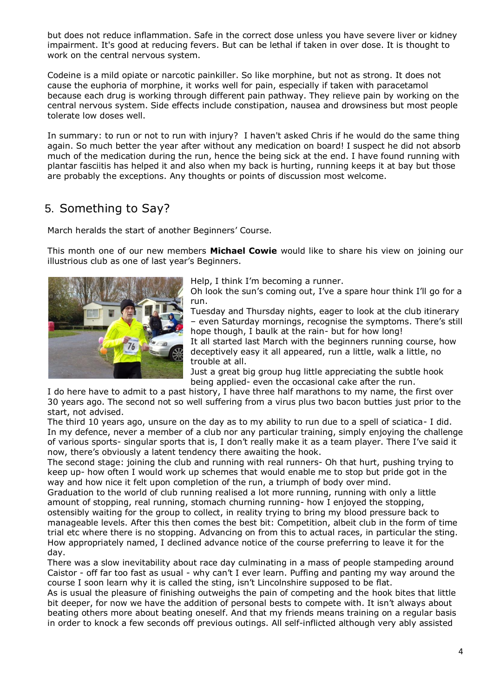but does not reduce inflammation. Safe in the correct dose unless you have severe liver or kidney impairment. It's good at reducing fevers. But can be lethal if taken in over dose. It is thought to work on the central nervous system.

Codeine is a mild opiate or narcotic painkiller. So like morphine, but not as strong. It does not cause the euphoria of morphine, it works well for pain, especially if taken with paracetamol because each drug is working through different pain pathway. They relieve pain by working on the central nervous system. Side effects include constipation, nausea and drowsiness but most people tolerate low doses well.

In summary: to run or not to run with injury? I haven't asked Chris if he would do the same thing again. So much better the year after without any medication on board! I suspect he did not absorb much of the medication during the run, hence the being sick at the end. I have found running with plantar fasciitis has helped it and also when my back is hurting, running keeps it at bay but those are probably the exceptions. Any thoughts or points of discussion most welcome.

## 5. Something to Say?

March heralds the start of another Beginners' Course.

This month one of our new members **Michael Cowie** would like to share his view on joining our illustrious club as one of last year's Beginners.



Help, I think I'm becoming a runner.

Oh look the sun's coming out, I've a spare hour think I'll go for a run.

Tuesday and Thursday nights, eager to look at the club itinerary – even Saturday mornings, recognise the symptoms. There's still hope though, I baulk at the rain- but for how long!

It all started last March with the beginners running course, how deceptively easy it all appeared, run a little, walk a little, no trouble at all.

Just a great big group hug little appreciating the subtle hook being applied- even the occasional cake after the run.

I do here have to admit to a past history, I have three half marathons to my name, the first over 30 years ago. The second not so well suffering from a virus plus two bacon butties just prior to the start, not advised.

The third 10 years ago, unsure on the day as to my ability to run due to a spell of sciatica- I did. In my defence, never a member of a club nor any particular training, simply enjoying the challenge of various sports- singular sports that is, I don't really make it as a team player. There I've said it now, there's obviously a latent tendency there awaiting the hook.

The second stage: joining the club and running with real runners- Oh that hurt, pushing trying to keep up- how often I would work up schemes that would enable me to stop but pride got in the way and how nice it felt upon completion of the run, a triumph of body over mind.

Graduation to the world of club running realised a lot more running, running with only a little amount of stopping, real running, stomach churning running- how I enjoyed the stopping, ostensibly waiting for the group to collect, in reality trying to bring my blood pressure back to manageable levels. After this then comes the best bit: Competition, albeit club in the form of time trial etc where there is no stopping. Advancing on from this to actual races, in particular the sting. How appropriately named, I declined advance notice of the course preferring to leave it for the day.

There was a slow inevitability about race day culminating in a mass of people stampeding around Caistor - off far too fast as usual - why can't I ever learn. Puffing and panting my way around the course I soon learn why it is called the sting, isn't Lincolnshire supposed to be flat.

As is usual the pleasure of finishing outweighs the pain of competing and the hook bites that little bit deeper, for now we have the addition of personal bests to compete with. It isn't always about beating others more about beating oneself. And that my friends means training on a regular basis in order to knock a few seconds off previous outings. All self-inflicted although very ably assisted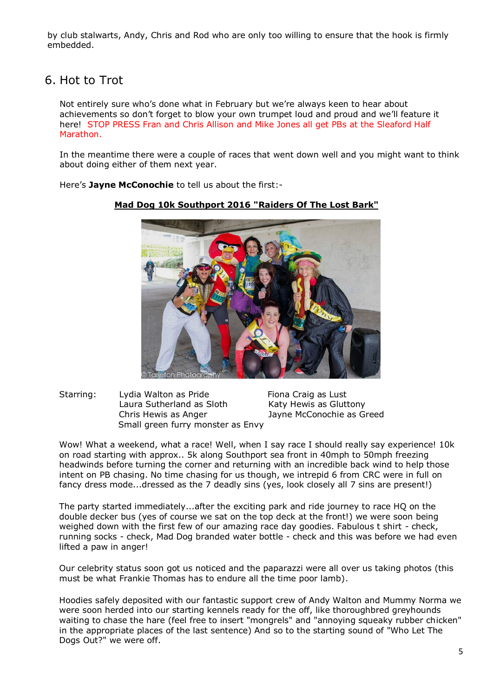by club stalwarts, Andy, Chris and Rod who are only too willing to ensure that the hook is firmly embedded.

## 6. Hot to Trot

Not entirely sure who's done what in February but we're always keen to hear about achievements so don't forget to blow your own trumpet loud and proud and we'll feature it here! STOP PRESS Fran and Chris Allison and Mike Jones all get PBs at the Sleaford Half Marathon.

In the meantime there were a couple of races that went down well and you might want to think about doing either of them next year.

Here's **Jayne McConochie** to tell us about the first:-



#### **Mad Dog 10k Southport 2016 "Raiders Of The Lost Bark"**

Starring: Lydia Walton as Pride Fiona Craig as Lust Laura Sutherland as Sloth Katy Hewis as Gluttony Chris Hewis as Anger Jayne McConochie as Greed Small green furry monster as Envy

Wow! What a weekend, what a race! Well, when I say race I should really say experience! 10k on road starting with approx.. 5k along Southport sea front in 40mph to 50mph freezing headwinds before turning the corner and returning with an incredible back wind to help those intent on PB chasing. No time chasing for us though, we intrepid 6 from CRC were in full on fancy dress mode...dressed as the 7 deadly sins (yes, look closely all 7 sins are present!)

The party started immediately...after the exciting park and ride journey to race HQ on the double decker bus (yes of course we sat on the top deck at the front!) we were soon being weighed down with the first few of our amazing race day goodies. Fabulous t shirt - check, running socks - check, Mad Dog branded water bottle - check and this was before we had even lifted a paw in anger!

Our celebrity status soon got us noticed and the paparazzi were all over us taking photos (this must be what Frankie Thomas has to endure all the time poor lamb).

Hoodies safely deposited with our fantastic support crew of Andy Walton and Mummy Norma we were soon herded into our starting kennels ready for the off, like thoroughbred greyhounds waiting to chase the hare (feel free to insert "mongrels" and "annoying squeaky rubber chicken" in the appropriate places of the last sentence) And so to the starting sound of "Who Let The Dogs Out?" we were off.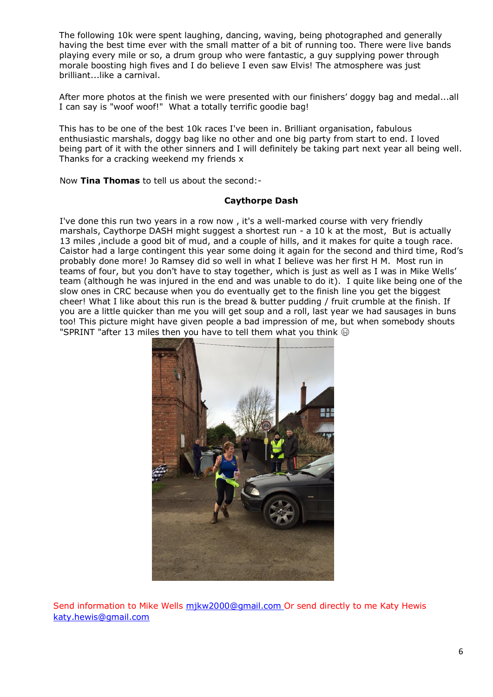The following 10k were spent laughing, dancing, waving, being photographed and generally having the best time ever with the small matter of a bit of running too. There were live bands playing every mile or so, a drum group who were fantastic, a guy supplying power through morale boosting high fives and I do believe I even saw Elvis! The atmosphere was just brilliant...like a carnival.

After more photos at the finish we were presented with our finishers' doggy bag and medal...all I can say is "woof woof!" What a totally terrific goodie bag!

This has to be one of the best 10k races I've been in. Brilliant organisation, fabulous enthusiastic marshals, doggy bag like no other and one big party from start to end. I loved being part of it with the other sinners and I will definitely be taking part next year all being well. Thanks for a cracking weekend my friends x

Now **Tina Thomas** to tell us about the second:-

#### **Caythorpe Dash**

I've done this run two years in a row now , it's a well-marked course with very friendly marshals, Caythorpe DASH might suggest a shortest run - a 10 k at the most, But is actually 13 miles ,include a good bit of mud, and a couple of hills, and it makes for quite a tough race. Caistor had a large contingent this year some doing it again for the second and third time, Rod's probably done more! Jo Ramsey did so well in what I believe was her first H M. Most run in teams of four, but you don't have to stay together, which is just as well as I was in Mike Wells' team (although he was injured in the end and was unable to do it). I quite like being one of the slow ones in CRC because when you do eventually get to the finish line you get the biggest cheer! What I like about this run is the bread & butter pudding / fruit crumble at the finish. If you are a little quicker than me you will get soup and a roll, last year we had sausages in buns too! This picture might have given people a bad impression of me, but when somebody shouts "SPRINT "after 13 miles then you have to tell them what you think  $\circledast$ 



Send information to Mike Wells [mjkw2000@gmail.com](mailto:mjkw2000@gmail.com) Or send directly to me Katy Hewis [katy.hewis@gmail.com](mailto:katy.hewis@gmail.com)